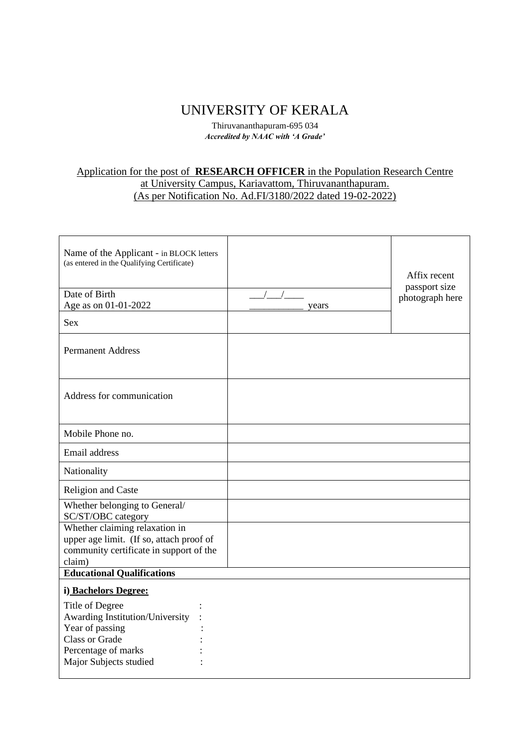## UNIVERSITY OF KERALA

Thiruvananthapuram-695 034 *Accredited by NAAC with 'A Grade'*

## Application for the post of **RESEARCH OFFICER** in the Population Research Centre at University Campus, Kariavattom, Thiruvananthapuram.

(As per Notification No. Ad.FI/3180/2022 dated 19-02-2022)

| Name of the Applicant - in BLOCK letters<br>(as entered in the Qualifying Certificate)<br>Date of Birth<br>Age as on 01-01-2022                 | years | Affix recent<br>passport size<br>photograph here |
|-------------------------------------------------------------------------------------------------------------------------------------------------|-------|--------------------------------------------------|
| <b>Sex</b>                                                                                                                                      |       |                                                  |
| <b>Permanent Address</b>                                                                                                                        |       |                                                  |
| Address for communication                                                                                                                       |       |                                                  |
| Mobile Phone no.                                                                                                                                |       |                                                  |
| Email address                                                                                                                                   |       |                                                  |
| Nationality                                                                                                                                     |       |                                                  |
| Religion and Caste                                                                                                                              |       |                                                  |
| Whether belonging to General/<br>SC/ST/OBC category                                                                                             |       |                                                  |
| Whether claiming relaxation in<br>upper age limit. (If so, attach proof of<br>community certificate in support of the<br>claim)                 |       |                                                  |
| <b>Educational Qualifications</b>                                                                                                               |       |                                                  |
| i) Bachelors Degree:                                                                                                                            |       |                                                  |
| Title of Degree<br>Awarding Institution/University<br>Year of passing<br><b>Class or Grade</b><br>Percentage of marks<br>Major Subjects studied |       |                                                  |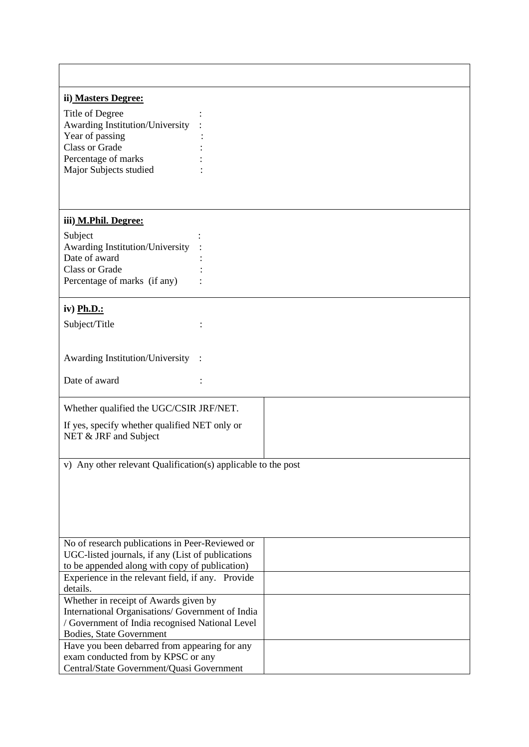| ii) Masters Degree:                                           |  |  |  |  |
|---------------------------------------------------------------|--|--|--|--|
| Title of Degree                                               |  |  |  |  |
| Awarding Institution/University                               |  |  |  |  |
| Year of passing                                               |  |  |  |  |
| <b>Class or Grade</b>                                         |  |  |  |  |
| Percentage of marks                                           |  |  |  |  |
| Major Subjects studied                                        |  |  |  |  |
|                                                               |  |  |  |  |
| iii) M.Phil. Degree:                                          |  |  |  |  |
| Subject                                                       |  |  |  |  |
| Awarding Institution/University                               |  |  |  |  |
| Date of award                                                 |  |  |  |  |
| <b>Class or Grade</b>                                         |  |  |  |  |
| Percentage of marks (if any)                                  |  |  |  |  |
|                                                               |  |  |  |  |
| iv) Ph.D.:                                                    |  |  |  |  |
| Subject/Title                                                 |  |  |  |  |
|                                                               |  |  |  |  |
|                                                               |  |  |  |  |
| Awarding Institution/University                               |  |  |  |  |
| Date of award                                                 |  |  |  |  |
|                                                               |  |  |  |  |
| Whether qualified the UGC/CSIR JRF/NET.                       |  |  |  |  |
| If yes, specify whether qualified NET only or                 |  |  |  |  |
| NET & JRF and Subject                                         |  |  |  |  |
|                                                               |  |  |  |  |
| v) Any other relevant Qualification(s) applicable to the post |  |  |  |  |
|                                                               |  |  |  |  |
|                                                               |  |  |  |  |
|                                                               |  |  |  |  |
|                                                               |  |  |  |  |
|                                                               |  |  |  |  |
|                                                               |  |  |  |  |
| No of research publications in Peer-Reviewed or               |  |  |  |  |
| UGC-listed journals, if any (List of publications             |  |  |  |  |
| to be appended along with copy of publication)                |  |  |  |  |
| Experience in the relevant field, if any. Provide             |  |  |  |  |
| details.                                                      |  |  |  |  |
| Whether in receipt of Awards given by                         |  |  |  |  |
| International Organisations/ Government of India              |  |  |  |  |
| / Government of India recognised National Level               |  |  |  |  |
| Bodies, State Government                                      |  |  |  |  |
| Have you been debarred from appearing for any                 |  |  |  |  |
| exam conducted from by KPSC or any                            |  |  |  |  |
| Central/State Government/Quasi Government                     |  |  |  |  |